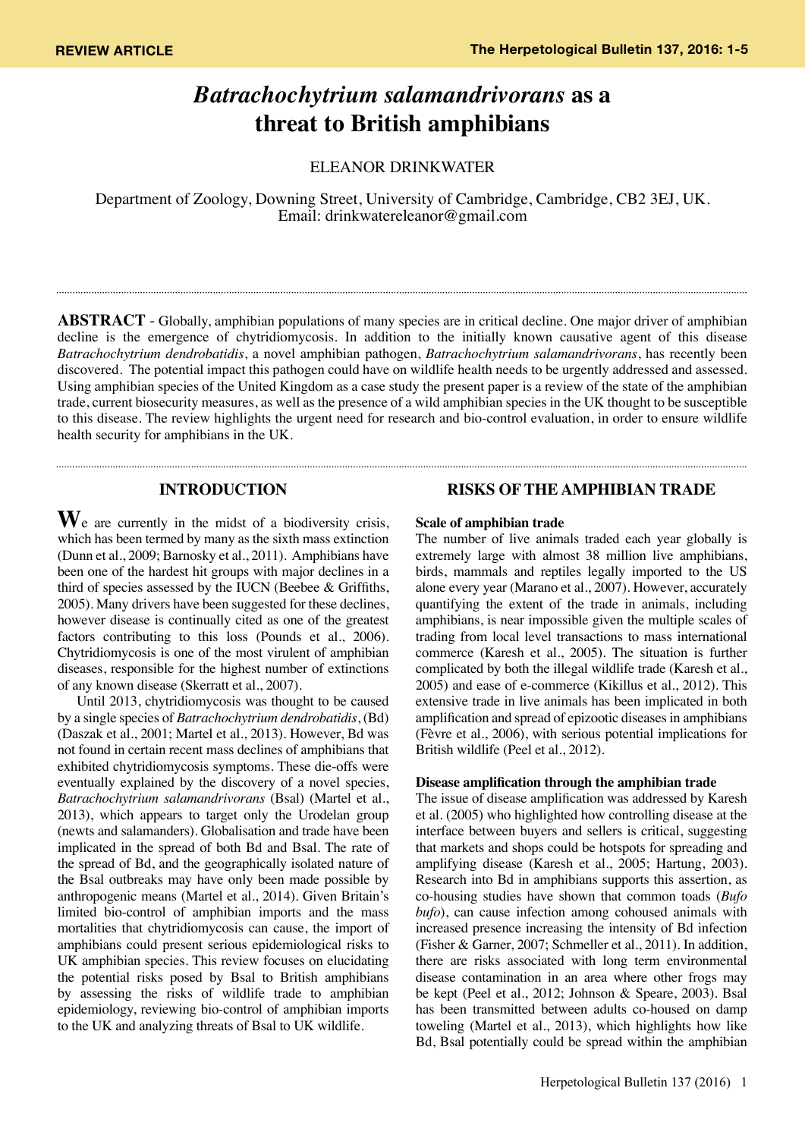# *Batrachochytrium salamandrivorans* **as a threat to British amphibians**

ELEANOR DRINKWATER

Department of Zoology, Downing Street, University of Cambridge, Cambridge, CB2 3EJ, UK. Email: drinkwatereleanor@gmail.com

**ABSTRACT** - Globally, amphibian populations of many species are in critical decline. One major driver of amphibian decline is the emergence of chytridiomycosis. In addition to the initially known causative agent of this disease *Batrachochytrium dendrobatidis*, a novel amphibian pathogen, *Batrachochytrium salamandrivorans*, has recently been discovered. The potential impact this pathogen could have on wildlife health needs to be urgently addressed and assessed. Using amphibian species of the United Kingdom as a case study the present paper is a review of the state of the amphibian trade, current biosecurity measures, as well as the presence of a wild amphibian species in the UK thought to be susceptible to this disease. The review highlights the urgent need for research and bio-control evaluation, in order to ensure wildlife health security for amphibians in the UK.

# **INTRODUCTION**

**W**e are currently in the midst of a biodiversity crisis, which has been termed by many as the sixth mass extinction (Dunn et al., 2009; Barnosky et al., 2011). Amphibians have been one of the hardest hit groups with major declines in a third of species assessed by the IUCN (Beebee & Griffiths, 2005). Many drivers have been suggested for these declines, however disease is continually cited as one of the greatest factors contributing to this loss (Pounds et al., 2006). Chytridiomycosis is one of the most virulent of amphibian diseases, responsible for the highest number of extinctions of any known disease (Skerratt et al., 2007).

Until 2013, chytridiomycosis was thought to be caused by a single species of *Batrachochytrium dendrobatidis*, (Bd) (Daszak et al., 2001; Martel et al., 2013). However, Bd was not found in certain recent mass declines of amphibians that exhibited chytridiomycosis symptoms. These die-offs were eventually explained by the discovery of a novel species, *Batrachochytrium salamandrivorans* (Bsal) (Martel et al., 2013), which appears to target only the Urodelan group (newts and salamanders). Globalisation and trade have been implicated in the spread of both Bd and Bsal. The rate of the spread of Bd, and the geographically isolated nature of the Bsal outbreaks may have only been made possible by anthropogenic means (Martel et al., 2014). Given Britain's limited bio-control of amphibian imports and the mass mortalities that chytridiomycosis can cause, the import of amphibians could present serious epidemiological risks to UK amphibian species. This review focuses on elucidating the potential risks posed by Bsal to British amphibians by assessing the risks of wildlife trade to amphibian epidemiology, reviewing bio-control of amphibian imports to the UK and analyzing threats of Bsal to UK wildlife.

# **RISKS OF THE AMPHIBIAN TRADE**

#### **Scale of amphibian trade**

The number of live animals traded each year globally is extremely large with almost 38 million live amphibians, birds, mammals and reptiles legally imported to the US alone every year (Marano et al., 2007). However, accurately quantifying the extent of the trade in animals, including amphibians, is near impossible given the multiple scales of trading from local level transactions to mass international commerce (Karesh et al., 2005). The situation is further complicated by both the illegal wildlife trade (Karesh et al., 2005) and ease of e-commerce (Kikillus et al., 2012). This extensive trade in live animals has been implicated in both amplification and spread of epizootic diseases in amphibians (Fèvre et al., 2006), with serious potential implications for British wildlife (Peel et al., 2012).

#### **Disease amplification through the amphibian trade**

The issue of disease amplification was addressed by Karesh et al. (2005) who highlighted how controlling disease at the interface between buyers and sellers is critical, suggesting that markets and shops could be hotspots for spreading and amplifying disease (Karesh et al., 2005; Hartung, 2003). Research into Bd in amphibians supports this assertion, as co-housing studies have shown that common toads (*Bufo bufo*), can cause infection among cohoused animals with increased presence increasing the intensity of Bd infection (Fisher & Garner, 2007; Schmeller et al., 2011). In addition, there are risks associated with long term environmental disease contamination in an area where other frogs may be kept (Peel et al., 2012; Johnson & Speare, 2003). Bsal has been transmitted between adults co-housed on damp toweling (Martel et al., 2013), which highlights how like Bd, Bsal potentially could be spread within the amphibian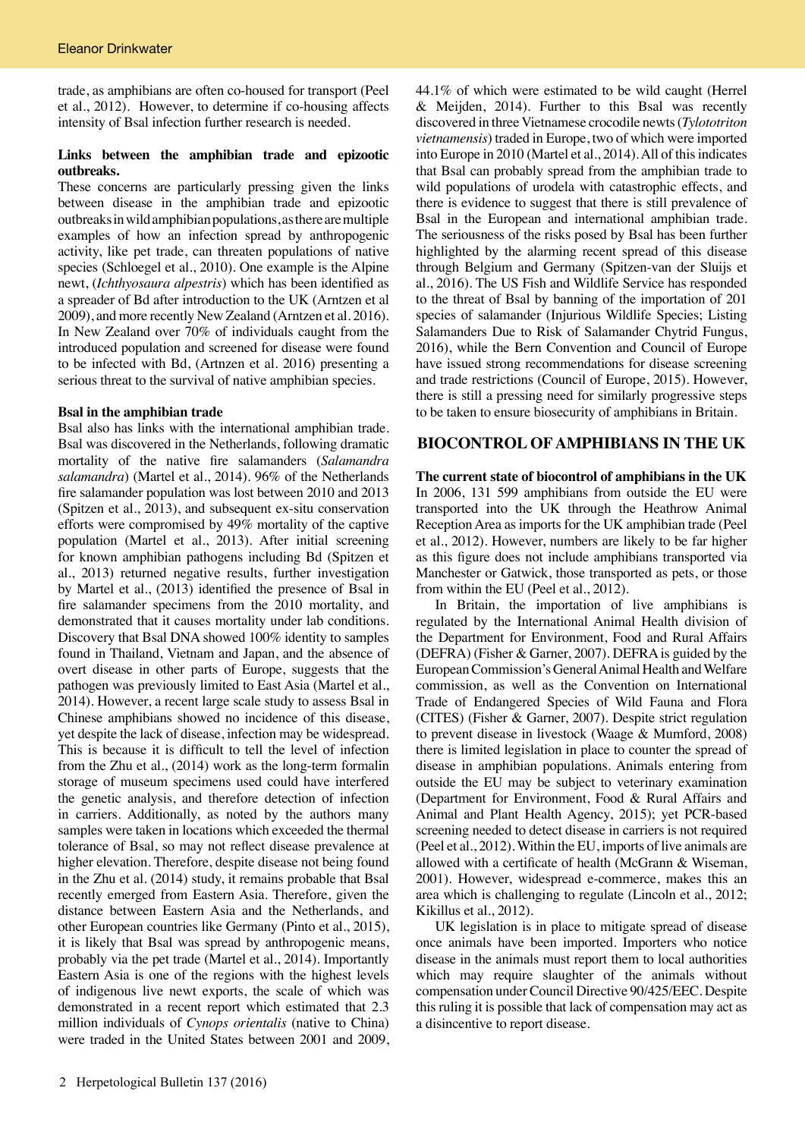trade, as amphibians are often co-housed for transport (Peel et al., 2012). However, to determine if co-housing affects intensity of Bsal infection further research is needed.

## **Links between the amphibian trade and epizootic outbreaks.**

These concerns are particularly pressing given the links between disease in the amphibian trade and epizootic outbreaks in wild amphibian populations, as there are multiple examples of how an infection spread by anthropogenic activity, like pet trade, can threaten populations of native species (Schloegel et al., 2010). One example is the Alpine newt, (*Ichthyosaura alpestris*) which has been identified as a spreader of Bd after introduction to the UK (Arntzen et al 2009), and more recently New Zealand (Arntzen et al. 2016). In New Zealand over 70% of individuals caught from the introduced population and screened for disease were found to be infected with Bd, (Artnzen et al. 2016) presenting a serious threat to the survival of native amphibian species.

## **Bsal in the amphibian trade**

Bsal also has links with the international amphibian trade. Bsal was discovered in the Netherlands, following dramatic mortality of the native fire salamanders (*Salamandra salamandra*) (Martel et al., 2014). 96% of the Netherlands fire salamander population was lost between 2010 and 2013 (Spitzen et al., 2013), and subsequent ex-situ conservation efforts were compromised by 49% mortality of the captive population (Martel et al., 2013). After initial screening for known amphibian pathogens including Bd (Spitzen et al., 2013) returned negative results, further investigation by Martel et al., (2013) identified the presence of Bsal in fire salamander specimens from the 2010 mortality, and demonstrated that it causes mortality under lab conditions. Discovery that Bsal DNA showed 100% identity to samples found in Thailand, Vietnam and Japan, and the absence of overt disease in other parts of Europe, suggests that the pathogen was previously limited to East Asia (Martel et al., 2014). However, a recent large scale study to assess Bsal in Chinese amphibians showed no incidence of this disease, yet despite the lack of disease, infection may be widespread. This is because it is difficult to tell the level of infection from the Zhu et al., (2014) work as the long-term formalin storage of museum specimens used could have interfered the genetic analysis, and therefore detection of infection in carriers. Additionally, as noted by the authors many samples were taken in locations which exceeded the thermal tolerance of Bsal, so may not reflect disease prevalence at higher elevation. Therefore, despite disease not being found in the Zhu et al. (2014) study, it remains probable that Bsal recently emerged from Eastern Asia. Therefore, given the distance between Eastern Asia and the Netherlands, and other European countries like Germany (Pinto et al., 2015), it is likely that Bsal was spread by anthropogenic means, probably via the pet trade (Martel et al., 2014). Importantly Eastern Asia is one of the regions with the highest levels of indigenous live newt exports, the scale of which was demonstrated in a recent report which estimated that 2.3 million individuals of *Cynops orientalis* (native to China) were traded in the United States between 2001 and 2009,

44.1% of which were estimated to be wild caught (Herrel & Meijden, 2014). Further to this Bsal was recently discovered in three Vietnamese crocodile newts (*Tylototriton vietnamensis*) traded in Europe, two of which were imported into Europe in 2010 (Martel et al., 2014). All of this indicates that Bsal can probably spread from the amphibian trade to wild populations of urodela with catastrophic effects, and there is evidence to suggest that there is still prevalence of Bsal in the European and international amphibian trade. The seriousness of the risks posed by Bsal has been further highlighted by the alarming recent spread of this disease through Belgium and Germany (Spitzen-van der Sluijs et al., 2016). The US Fish and Wildlife Service has responded to the threat of Bsal by banning of the importation of 201 species of salamander (Injurious Wildlife Species; Listing Salamanders Due to Risk of Salamander Chytrid Fungus, 2016), while the Bern Convention and Council of Europe have issued strong recommendations for disease screening and trade restrictions (Council of Europe, 2015). However, there is still a pressing need for similarly progressive steps to be taken to ensure biosecurity of amphibians in Britain.

# **BIOCONTROL OF AMPHIBIANS IN THE UK**

**The current state of biocontrol of amphibians in the UK** In 2006, 131 599 amphibians from outside the EU were transported into the UK through the Heathrow Animal Reception Area as imports for the UK amphibian trade (Peel et al., 2012). However, numbers are likely to be far higher as this figure does not include amphibians transported via Manchester or Gatwick, those transported as pets, or those from within the EU (Peel et al., 2012).

In Britain, the importation of live amphibians is regulated by the International Animal Health division of the Department for Environment, Food and Rural Affairs (DEFRA) (Fisher & Garner, 2007). DEFRA is guided by the European Commission's General Animal Health and Welfare commission, as well as the Convention on International Trade of Endangered Species of Wild Fauna and Flora (CITES) (Fisher & Garner, 2007). Despite strict regulation to prevent disease in livestock (Waage & Mumford, 2008) there is limited legislation in place to counter the spread of disease in amphibian populations. Animals entering from outside the EU may be subject to veterinary examination (Department for Environment, Food & Rural Affairs and Animal and Plant Health Agency, 2015); yet PCR-based screening needed to detect disease in carriers is not required (Peel et al., 2012). Within the EU, imports of live animals are allowed with a certificate of health (McGrann & Wiseman, 2001). However, widespread e-commerce, makes this an area which is challenging to regulate (Lincoln et al., 2012; Kikillus et al., 2012).

UK legislation is in place to mitigate spread of disease once animals have been imported. Importers who notice disease in the animals must report them to local authorities which may require slaughter of the animals without compensation under Council Directive 90/425/EEC. Despite this ruling it is possible that lack of compensation may act as a disincentive to report disease.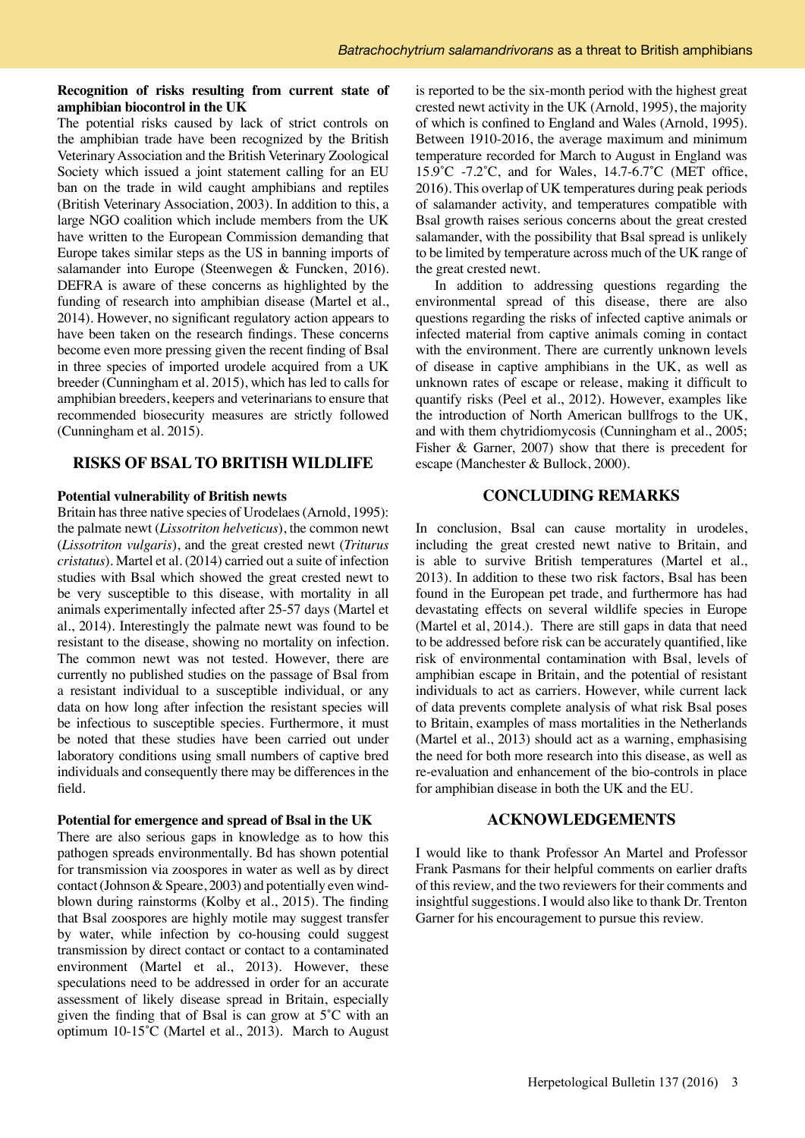## **Recognition of risks resulting from current state of amphibian biocontrol in the UK**

The potential risks caused by lack of strict controls on the amphibian trade have been recognized by the British Veterinary Association and the British Veterinary Zoological Society which issued a joint statement calling for an EU ban on the trade in wild caught amphibians and reptiles (British Veterinary Association, 2003). In addition to this, a large NGO coalition which include members from the UK have written to the European Commission demanding that Europe takes similar steps as the US in banning imports of salamander into Europe (Steenwegen & Funcken, 2016). DEFRA is aware of these concerns as highlighted by the funding of research into amphibian disease (Martel et al., 2014). However, no significant regulatory action appears to have been taken on the research findings. These concerns become even more pressing given the recent finding of Bsal in three species of imported urodele acquired from a UK breeder (Cunningham et al. 2015), which has led to calls for amphibian breeders, keepers and veterinarians to ensure that recommended biosecurity measures are strictly followed (Cunningham et al. 2015).

## **RISKS OF BSAL TO BRITISH WILDLIFE**

#### **Potential vulnerability of British newts**

Britain has three native species of Urodelaes (Arnold, 1995): the palmate newt (*Lissotriton helveticus*), the common newt (*Lissotriton vulgaris*), and the great crested newt (*Triturus cristatus*). Martel et al. (2014) carried out a suite of infection studies with Bsal which showed the great crested newt to be very susceptible to this disease, with mortality in all animals experimentally infected after 25-57 days (Martel et al., 2014). Interestingly the palmate newt was found to be resistant to the disease, showing no mortality on infection. The common newt was not tested. However, there are currently no published studies on the passage of Bsal from a resistant individual to a susceptible individual, or any data on how long after infection the resistant species will be infectious to susceptible species. Furthermore, it must be noted that these studies have been carried out under laboratory conditions using small numbers of captive bred individuals and consequently there may be differences in the field.

#### **Potential for emergence and spread of Bsal in the UK**

There are also serious gaps in knowledge as to how this pathogen spreads environmentally. Bd has shown potential for transmission via zoospores in water as well as by direct contact (Johnson & Speare, 2003) and potentially even windblown during rainstorms (Kolby et al., 2015). The finding that Bsal zoospores are highly motile may suggest transfer by water, while infection by co-housing could suggest transmission by direct contact or contact to a contaminated environment (Martel et al., 2013). However, these speculations need to be addressed in order for an accurate assessment of likely disease spread in Britain, especially given the finding that of Bsal is can grow at 5˚C with an optimum 10-15˚C (Martel et al., 2013). March to August

is reported to be the six-month period with the highest great crested newt activity in the UK (Arnold, 1995), the majority of which is confined to England and Wales (Arnold, 1995). Between 1910-2016, the average maximum and minimum temperature recorded for March to August in England was 15.9˚C -7.2˚C, and for Wales, 14.7-6.7˚C (MET office, 2016). This overlap of UK temperatures during peak periods of salamander activity, and temperatures compatible with Bsal growth raises serious concerns about the great crested salamander, with the possibility that Bsal spread is unlikely to be limited by temperature across much of the UK range of the great crested newt.

In addition to addressing questions regarding the environmental spread of this disease, there are also questions regarding the risks of infected captive animals or infected material from captive animals coming in contact with the environment. There are currently unknown levels of disease in captive amphibians in the UK, as well as unknown rates of escape or release, making it difficult to quantify risks (Peel et al., 2012). However, examples like the introduction of North American bullfrogs to the UK, and with them chytridiomycosis (Cunningham et al., 2005; Fisher & Garner, 2007) show that there is precedent for escape (Manchester & Bullock, 2000).

# **CONCLUDING REMARKS**

In conclusion, Bsal can cause mortality in urodeles, including the great crested newt native to Britain, and is able to survive British temperatures (Martel et al., 2013). In addition to these two risk factors, Bsal has been found in the European pet trade, and furthermore has had devastating effects on several wildlife species in Europe (Martel et al, 2014.). There are still gaps in data that need to be addressed before risk can be accurately quantified, like risk of environmental contamination with Bsal, levels of amphibian escape in Britain, and the potential of resistant individuals to act as carriers. However, while current lack of data prevents complete analysis of what risk Bsal poses to Britain, examples of mass mortalities in the Netherlands (Martel et al., 2013) should act as a warning, emphasising the need for both more research into this disease, as well as re-evaluation and enhancement of the bio-controls in place for amphibian disease in both the UK and the EU.

## **ACKNOWLEDGEMENTS**

I would like to thank Professor An Martel and Professor Frank Pasmans for their helpful comments on earlier drafts of this review, and the two reviewers for their comments and insightful suggestions. I would also like to thank Dr. Trenton Garner for his encouragement to pursue this review.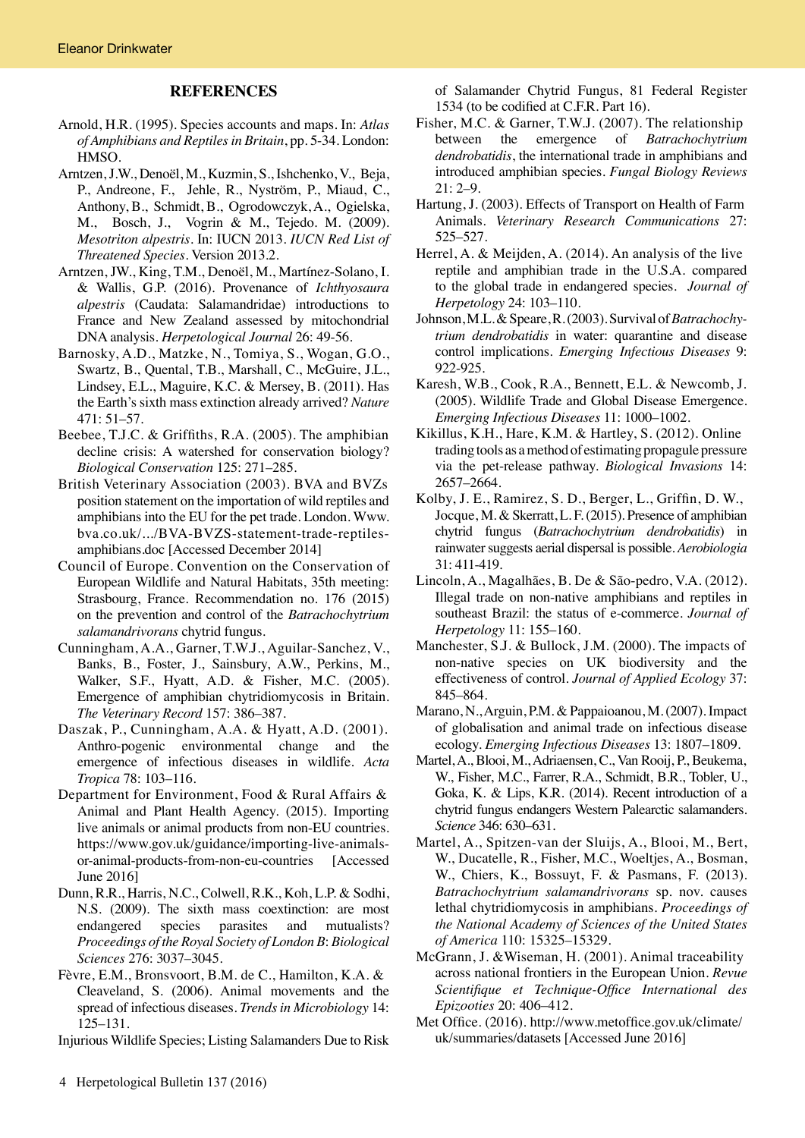## **REFERENCES**

- Arnold, H.R. (1995). Species accounts and maps. In: *Atlas of Amphibians and Reptiles in Britain*, pp. 5-34. London: HMSO.
- Arntzen, J.W., Denoël, M., Kuzmin, S., Ishchenko, V., Beja, P., Andreone, F., Jehle, R., Nyström, P., Miaud, C., Anthony, B., Schmidt, B., Ogrodowczyk, A., Ogielska, M., Bosch, J., Vogrin & M., Tejedo. M. (2009). *Mesotriton alpestris*. In: IUCN 2013. *IUCN Red List of Threatened Species*. Version 2013.2.
- Arntzen, JW., King, T.M., Denoël, M., Martínez-Solano, I. & Wallis, G.P. (2016). Provenance of *Ichthyosaura alpestris* (Caudata: Salamandridae) introductions to France and New Zealand assessed by mitochondrial DNA analysis. *Herpetological Journal* 26: 49-56.
- Barnosky, A.D., Matzke, N., Tomiya, S., Wogan, G.O., Swartz, B., Quental, T.B., Marshall, C., McGuire, J.L., Lindsey, E.L., Maguire, K.C. & Mersey, B. (2011). Has the Earth's sixth mass extinction already arrived? *Nature* 471: 51–57.
- Beebee, T.J.C. & Griffiths, R.A. (2005). The amphibian decline crisis: A watershed for conservation biology? *Biological Conservation* 125: 271–285.
- British Veterinary Association (2003). BVA and BVZs position statement on the importation of wild reptiles and amphibians into the EU for the pet trade. London. Www. bva.co.uk/.../BVA-BVZS-statement-trade-reptilesamphibians.doc [Accessed December 2014]
- Council of Europe. Convention on the Conservation of European Wildlife and Natural Habitats, 35th meeting: Strasbourg, France. Recommendation no. 176 (2015) on the prevention and control of the *Batrachochytrium salamandrivorans* chytrid fungus.
- Cunningham, A.A., Garner, T.W.J., Aguilar-Sanchez, V., Banks, B., Foster, J., Sainsbury, A.W., Perkins, M., Walker, S.F., Hyatt, A.D. & Fisher, M.C. (2005). Emergence of amphibian chytridiomycosis in Britain. *The Veterinary Record* 157: 386–387.
- Daszak, P., Cunningham, A.A. & Hyatt, A.D. (2001). Anthro-pogenic environmental change and the emergence of infectious diseases in wildlife. *Acta Tropica* 78: 103–116.
- Department for Environment, Food & Rural Affairs & Animal and Plant Health Agency. (2015). Importing live animals or animal products from non-EU countries. https://www.gov.uk/guidance/importing-live-animalsor-animal-products-from-non-eu-countries [Accessed June 2016]
- Dunn, R.R., Harris, N.C., Colwell, R.K., Koh, L.P. & Sodhi, N.S. (2009). The sixth mass coextinction: are most endangered species parasites and mutualists? *Proceedings of the Royal Society of London B*: *Biological Sciences* 276: 3037–3045.
- Fèvre, E.M., Bronsvoort, B.M. de C., Hamilton, K.A. & Cleaveland, S. (2006). Animal movements and the spread of infectious diseases. *Trends in Microbiology* 14: 125–131.

Injurious Wildlife Species; Listing Salamanders Due to Risk

 of Salamander Chytrid Fungus, 81 Federal Register 1534 (to be codified at C.F.R. Part 16).

- Fisher, M.C. & Garner, T.W.J. (2007). The relationship between the emergence of *Batrachochytrium dendrobatidis*, the international trade in amphibians and introduced amphibian species. *Fungal Biology Reviews* 21: 2–9.
- Hartung, J. (2003). Effects of Transport on Health of Farm Animals. *Veterinary Research Communications* 27: 525–527.
- Herrel, A. & Meijden, A. (2014). An analysis of the live reptile and amphibian trade in the U.S.A. compared to the global trade in endangered species. *Journal of Herpetology* 24: 103–110.
- Johnson, M.L. & Speare, R. (2003). Survival of *Batrachochy trium dendrobatidis* in water: quarantine and disease control implications. *Emerging Infectious Diseases* 9: 922-925.
- Karesh, W.B., Cook, R.A., Bennett, E.L. & Newcomb, J. (2005). Wildlife Trade and Global Disease Emergence. *Emerging Infectious Diseases* 11: 1000–1002.
- Kikillus, K.H., Hare, K.M. & Hartley, S. (2012). Online trading tools as a method of estimating propagule pressure via the pet-release pathway. *Biological Invasions* 14: 2657–2664.
- Kolby, J. E., Ramirez, S. D., Berger, L., Griffin, D. W., Jocque, M. & Skerratt, L. F. (2015). Presence of amphibian chytrid fungus (*Batrachochytrium dendrobatidis*) in rainwater suggests aerial dispersal is possible. *Aerobiologia*  31: 411-419.
- Lincoln, A., Magalhães, B. De & São-pedro, V.A. (2012). Illegal trade on non-native amphibians and reptiles in southeast Brazil: the status of e-commerce. *Journal of Herpetology* 11: 155–160.
- Manchester, S.J. & Bullock, J.M. (2000). The impacts of non-native species on UK biodiversity and the effectiveness of control. *Journal of Applied Ecology* 37: 845–864.
- Marano, N., Arguin, P.M. & Pappaioanou, M. (2007). Impact of globalisation and animal trade on infectious disease ecology. *Emerging Infectious Diseases* 13: 1807–1809.
- Martel, A., Blooi, M., Adriaensen, C., Van Rooij, P., Beukema, W., Fisher, M.C., Farrer, R.A., Schmidt, B.R., Tobler, U., Goka, K. & Lips, K.R. (2014). Recent introduction of a chytrid fungus endangers Western Palearctic salamanders. *Science* 346: 630–631.
- Martel, A., Spitzen-van der Sluijs, A., Blooi, M., Bert, W., Ducatelle, R., Fisher, M.C., Woeltjes, A., Bosman, W., Chiers, K., Bossuyt, F. & Pasmans, F. (2013). *Batrachochytrium salamandrivorans* sp. nov. causes lethal chytridiomycosis in amphibians. *Proceedings of the National Academy of Sciences of the United States of America* 110: 15325–15329.
- McGrann, J. &Wiseman, H. (2001). Animal traceability across national frontiers in the European Union. *Revue Scientifique et Technique-Office International des Epizooties* 20: 406–412.
- Met Office. (2016). http://www.metoffice.gov.uk/climate/ uk/summaries/datasets [Accessed June 2016]